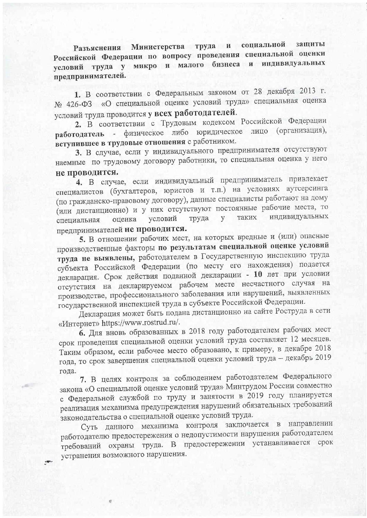Разъяснения Министерства труда и социальной защиты Российской Федерации по вопросу проведения специальной оценки условий труда у микро и малого бизнеса и индивидуальных предпринимателей.

1. В соответствии с Федеральным законом от 28 декабря 2013 г. № 426-ФЗ «О специальной оценке условий труда» специальная оценка условий труда проводится у всех работодателей.

2. В соответствии с Трудовым кодексом Российской Федерации работодатель - физическое либо юридическое лицо (организация), вступившее в трудовые отношения с работником.

3. В случае, если у индивидуального предпринимателя отсутствуют наемные по трудовому договору работники, то специальная оценка у него не проводится.

4. В случае, если индивидуальный предприниматель привлекает специалистов (бухгалтеров, юристов и т.п.) на условиях аутсерсинга (по гражданско-правовому договору), данные специалисты работают на дому (или дистанционно) и у них отсутствуют постоянные рабочие места, то индивидуальных таких условий труда  $V$ оценка специальная предпринимателей не проводится.

5. В отношении рабочих мест, на которых вредные и (или) опасные производственные факторы по результатам специальной оценке условий труда не выявлены, работодателем в Государственную инспекцию труда субъекта Российской Федерации (по месту его нахождения) подается декларация. Срок действия поданной декларации - 10 лет при условии отсутствия на декларируемом рабочем месте несчастного случая на производстве, профессионального заболевания или нарушений, выявленных государственной инспекцией труда в субъекте Российской Федерации.

Декларация может быть подана дистанционно на сайте Роструда в сети «Интернет» https://www.rostrud.ru/.

6. Для вновь образованных в 2018 году работодателем рабочих мест срок проведения специальной оценки условий труда составляет 12 месяцев. Таким образом, если рабочее место образовано, к примеру, в декабре 2018 года, то срок завершения специальной оценки условий труда - декабрь 2019 года.

7. В целях контроля за соблюдением работодателем Федерального закона «О специальной оценке условий труда» Минтрудом России совместно с Федеральной службой по труду и занятости в 2019 году планируется реализация механизма предупреждения нарушений обязательных требований законодательства о специальной оценке условий труда.

Суть данного механизма контроля заключается в направлении работодателю предостережения о недопустимости нарушения работодателем требований охраны труда. В предостережении устанавливается срок устранения возможного нарушения.